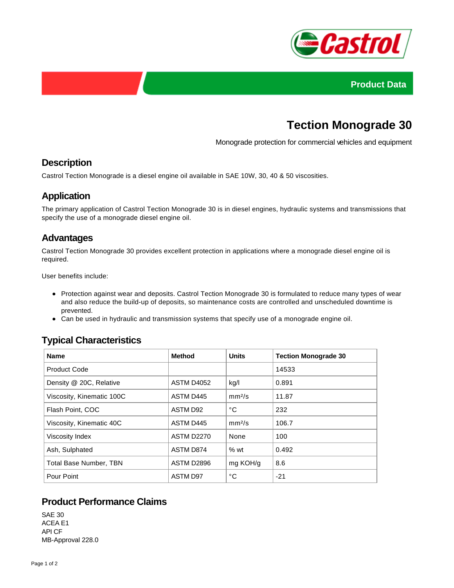



# **Tection Monograde 30**

Monograde protection for commercial vehicles and equipment

# **Description**

Castrol Tection Monograde is a diesel engine oil available in SAE 10W, 30, 40 & 50 viscosities.

# **Application**

The primary application of Castrol Tection Monograde 30 is in diesel engines, hydraulic systems and transmissions that specify the use of a monograde diesel engine oil.

#### **Advantages**

Castrol Tection Monograde 30 provides excellent protection in applications where a monograde diesel engine oil is required.

User benefits include:

- Protection against wear and deposits. Castrol Tection Monograde 30 is formulated to reduce many types of wear and also reduce the build-up of deposits, so maintenance costs are controlled and unscheduled downtime is prevented.
- Can be used in hydraulic and transmission systems that specify use of a monograde engine oil.

# **Typical Characteristics**

| <b>Name</b>                   | Method            | <b>Units</b>       | <b>Tection Monograde 30</b> |
|-------------------------------|-------------------|--------------------|-----------------------------|
| <b>Product Code</b>           |                   |                    | 14533                       |
| Density @ 20C, Relative       | ASTM D4052        | kg/l               | 0.891                       |
| Viscosity, Kinematic 100C     | ASTM D445         | mm <sup>2</sup> /s | 11.87                       |
| Flash Point, COC              | ASTM D92          | °C                 | 232                         |
| Viscosity, Kinematic 40C      | ASTM D445         | mm <sup>2</sup> /s | 106.7                       |
| Viscosity Index               | <b>ASTM D2270</b> | None               | 100                         |
| Ash, Sulphated                | ASTM D874         | %wt                | 0.492                       |
| <b>Total Base Number, TBN</b> | ASTM D2896        | mg KOH/g           | 8.6                         |
| Pour Point                    | <b>ASTM D97</b>   | °C                 | $-21$                       |

# **Product Performance Claims**

SAE 30 ACEA E1 API CF MB-Approval 228.0